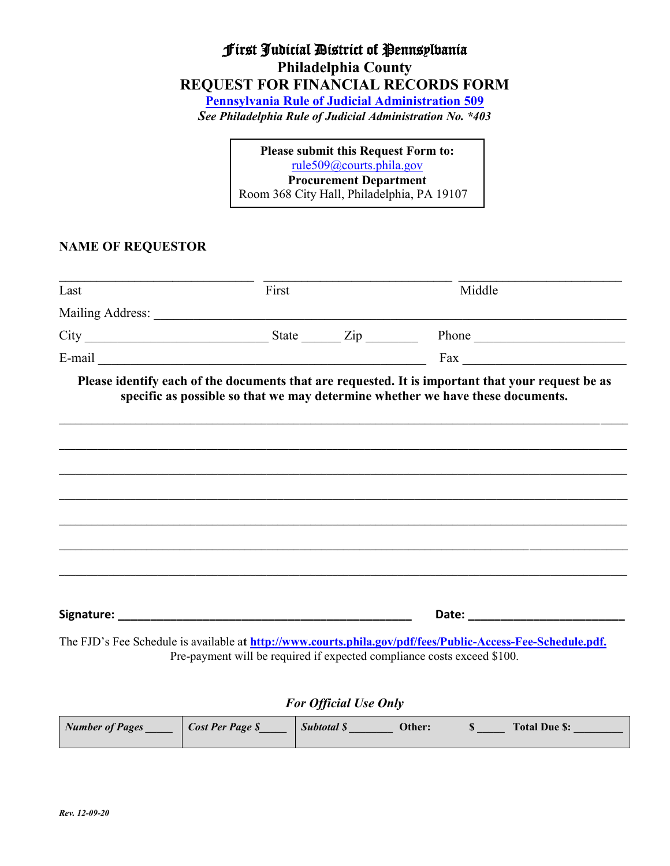# First Judicial District of Pennsylvania **Philadelphia County REQUEST FOR FINANCIAL RECORDS FORM [Pennsylvania Rule of Judicial Administration 509](http://www.pacourts.us/assets/files/page-1090/file-268.pdf)**

*See Philadelphia Rule of Judicial Administration No. \*403*

**Please submit this Request Form to:** [rule509@courts.phila.gov](mailto:rule509@courts.phila.gov) **Procurement Department** Room 368 City Hall, Philadelphia, PA 19107

#### **NAME OF REQUESTOR**

| Last | First                                                                   | Middle                                                                                                      |  |
|------|-------------------------------------------------------------------------|-------------------------------------------------------------------------------------------------------------|--|
|      |                                                                         |                                                                                                             |  |
|      |                                                                         |                                                                                                             |  |
|      |                                                                         | E-mail $\overline{\phantom{a}}$ Fax $\overline{\phantom{a}}$                                                |  |
|      |                                                                         |                                                                                                             |  |
|      |                                                                         |                                                                                                             |  |
|      |                                                                         | Date: <u>_______________________</u>                                                                        |  |
|      | Pre-payment will be required if expected compliance costs exceed \$100. | The FJD's Fee Schedule is available at http://www.courts.phila.gov/pdf/fees/Public-Access-Fee-Schedule.pdf. |  |

### *For Official Use Only*

| Number of Pages | <b>Cost Per Page \$</b> | Subtotal \$ | Other: | <b>Total Due \$:</b> |
|-----------------|-------------------------|-------------|--------|----------------------|
|                 |                         |             |        |                      |